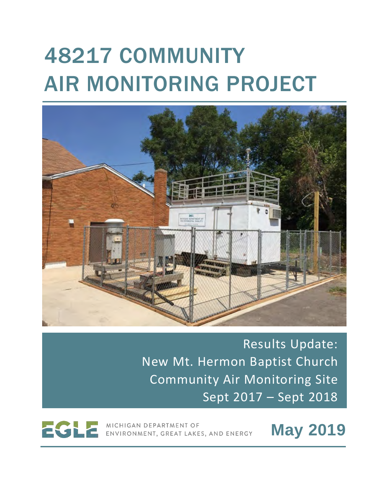# 48217 COMMUNITY AIR MONITORING PROJECT



Results Update: New Mt. Hermon Baptist Church Community Air Monitoring Site Sept 2017 – Sept 2018

MICHIGAN DEPARTMENT OF ENVIRONMENT, GREAT LAKES, AND ENERGY **May 2019**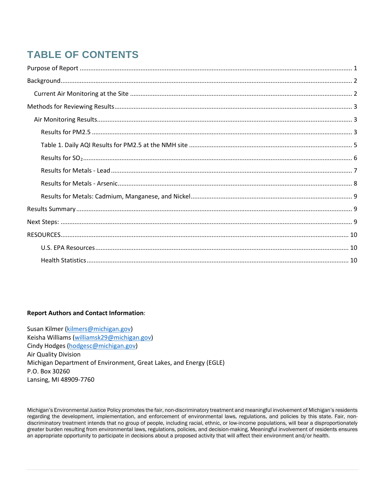# **TABLE OF CONTENTS**

#### **Report Authors and Contact Information**:

Susan Kilmer [\(kilmers@michigan.gov\)](mailto:kilmers@michigan.gov) Keisha Williams [\(williamsk29@michigan.gov\)](mailto:williamsk29@michigan.gov) Cindy Hodges [\(hodgesc@michigan.gov\)](mailto:hodgesc@michigan.gov) Air Quality Division Michigan Department of Environment, Great Lakes, and Energy (EGLE) P.O. Box 30260 Lansing, MI 48909-7760

Michigan's Environmental Justice Policy promotes the fair, non-discriminatory treatment and meaningful involvement of Michigan's residents regarding the development, implementation, and enforcement of environmental laws, regulations, and policies by this state. Fair, nondiscriminatory treatment intends that no group of people, including racial, ethnic, or low-income populations, will bear a disproportionately greater burden resulting from environmental laws, regulations, policies, and decision-making. Meaningful involvement of residents ensures an appropriate opportunity to participate in decisions about a proposed activity that will affect their environment and/or health.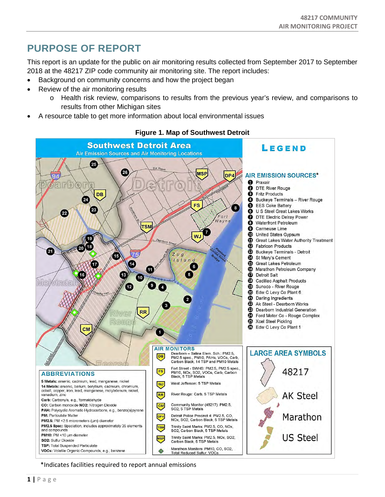# <span id="page-2-0"></span>**PURPOSE OF REPORT**

This report is an update for the public on air monitoring results collected from September 2017 to September 2018 at the 48217 ZIP code community air monitoring site. The report includes:

- Background on community concerns and how the project began
- Review of the air monitoring results
	- o Health risk review, comparisons to results from the previous year's review, and comparisons to results from other Michigan sites
- A resource table to get more information about local environmental issues



### **Figure 1. Map of Southwest Detroit**

\*Indicates facilities required to report annual emissions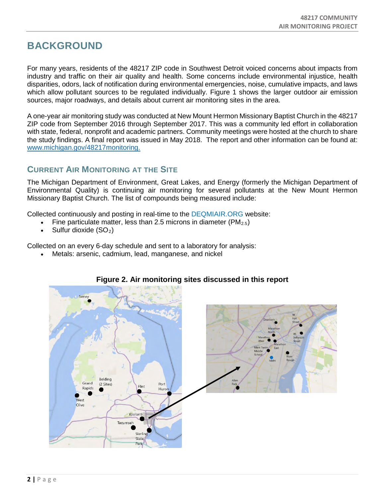# <span id="page-3-0"></span>**BACKGROUND**

For many years, residents of the 48217 ZIP code in Southwest Detroit voiced concerns about impacts from industry and traffic on their air quality and health. Some concerns include environmental injustice, health disparities, odors, lack of notification during environmental emergencies, noise, cumulative impacts, and laws which allow pollutant sources to be regulated individually. Figure 1 shows the larger outdoor air emission sources, major roadways, and details about current air monitoring sites in the area.

A one-year air monitoring study was conducted at New Mount Hermon Missionary Baptist Church in the 48217 ZIP code from September 2016 through September 2017. This was a community led effort in collaboration with state, federal, nonprofit and academic partners. Community meetings were hosted at the church to share the study findings. A final report was issued in May 2018. The report and other information can be found at: [www.michigan.gov/48217monitoring.](http://www.michigan.gov/48217monitoring)

# <span id="page-3-1"></span>**CURRENT AIR MONITORING AT THE SITE**

The Michigan Department of Environment, Great Lakes, and Energy (formerly the Michigan Department of Environmental Quality) is continuing air monitoring for several pollutants at the New Mount Hermon Missionary Baptist Church. The list of compounds being measured include:

Collected continuously and posting in real-time to the DEQMIAIR.ORG website:

- Fine particulate matter, less than 2.5 microns in diameter ( $PM_{2.5}$ )
- Sulfur dioxide (SO<sub>2</sub>)

Collected on an every 6-day schedule and sent to a laboratory for analysis:

Metals: arsenic, cadmium, lead, manganese, and nickel



## **Figure 2. Air monitoring sites discussed in this report**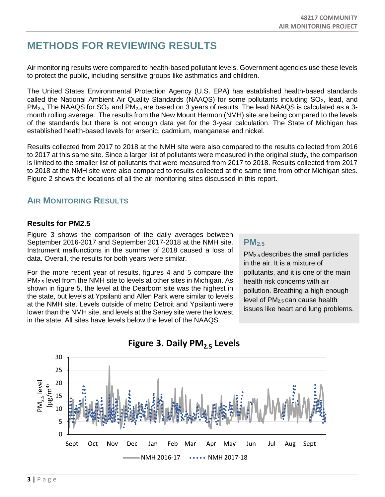# <span id="page-4-0"></span>**METHODS FOR REVIEWING RESULTS**

Air monitoring results were compared to health-based pollutant levels. Government agencies use these levels to protect the public, including sensitive groups like asthmatics and children.

The United States Environmental Protection Agency (U.S. EPA) has established health-based standards called the National Ambient Air Quality Standards (NAAQS) for some pollutants including  $SO<sub>2</sub>$ , lead, and  $PM_{2.5}$ . The NAAQS for SO<sub>2</sub> and PM<sub>2.5</sub> are based on 3 years of results. The lead NAAQS is calculated as a 3month rolling average. The results from the New Mount Hermon (NMH) site are being compared to the levels of the standards but there is not enough data yet for the 3-year calculation. The State of Michigan has established health-based levels for arsenic, cadmium, manganese and nickel.

Results collected from 2017 to 2018 at the NMH site were also compared to the results collected from 2016 to 2017 at this same site. Since a larger list of pollutants were measured in the original study, the comparison is limited to the smaller list of pollutants that were measured from 2017 to 2018. Results collected from 2017 to 2018 at the NMH site were also compared to results collected at the same time from other Michigan sites. Figure 2 shows the locations of all the air monitoring sites discussed in this report.

# <span id="page-4-1"></span>**AIR MONITORING RESULTS**

## <span id="page-4-2"></span>**Results for PM2.5**

Figure 3 shows the comparison of the daily averages between September 2016-2017 and September 2017-2018 at the NMH site. Instrument malfunctions in the summer of 2018 caused a loss of data. Overall, the results for both years were similar.

For the more recent year of results, figures 4 and 5 compare the PM2.5 level from the NMH site to levels at other sites in Michigan. As shown in figure 5, the level at the Dearborn site was the highest in the state, but levels at Ypsilanti and Allen Park were similar to levels at the NMH site. Levels outside of metro Detroit and Ypsilanti were lower than the NMH site, and levels at the Seney site were the lowest in the state. All sites have levels below the level of the NAAQS.

# **PM2.5**

PM2.5 describes the small particles in the air. It is a mixture of pollutants, and it is one of the main health risk concerns with air pollution. Breathing a high enough level of  $PM<sub>2.5</sub>$  can cause health issues like heart and lung problems.



# **Figure 3. Daily PM2.5 Levels**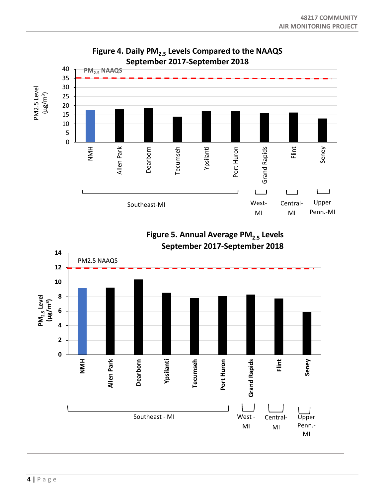

**Figure 5. Annual Average PM2.5 Levels September 2017-September 2018** 

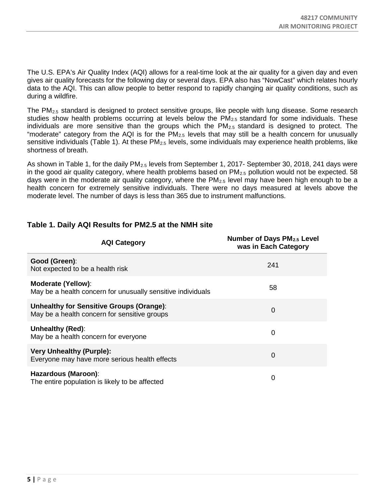The U.S. EPA's Air Quality Index (AQI) allows for a real-time look at the air quality for a given day and even gives air quality forecasts for the following day or several days. EPA also has "NowCast" which relates hourly data to the AQI. This can allow people to better respond to rapidly changing air quality conditions, such as during a wildfire.

The PM<sub>2.5</sub> standard is designed to protect sensitive groups, like people with lung disease. Some research studies show health problems occurring at levels below the  $PM_{2.5}$  standard for some individuals. These individuals are more sensitive than the groups which the  $PM<sub>2.5</sub>$  standard is designed to protect. The "moderate" category from the AQI is for the  $PM<sub>2.5</sub>$  levels that may still be a health concern for unusually sensitive individuals (Table 1). At these PM<sub>2.5</sub> levels, some individuals may experience health problems, like shortness of breath.

As shown in Table 1, for the daily PM<sub>2.5</sub> levels from September 1, 2017- September 30, 2018, 241 days were in the good air quality category, where health problems based on  $PM<sub>2.5</sub>$  pollution would not be expected. 58 days were in the moderate air quality category, where the  $PM<sub>2.5</sub>$  level may have been high enough to be a health concern for extremely sensitive individuals. There were no days measured at levels above the moderate level. The number of days is less than 365 due to instrument malfunctions.

| <b>AQI Category</b>                                                                      | Number of Days PM <sub>2.5</sub> Level<br>was in Each Category |
|------------------------------------------------------------------------------------------|----------------------------------------------------------------|
| Good (Green):<br>Not expected to be a health risk                                        | 241                                                            |
| <b>Moderate (Yellow):</b><br>May be a health concern for unusually sensitive individuals | 58                                                             |
| Unhealthy for Sensitive Groups (Orange):<br>May be a health concern for sensitive groups | $\Omega$                                                       |
| Unhealthy (Red):<br>May be a health concern for everyone                                 | 0                                                              |
| <b>Very Unhealthy (Purple):</b><br>Everyone may have more serious health effects         | 0                                                              |
| Hazardous (Maroon):<br>The entire population is likely to be affected                    | 0                                                              |

## <span id="page-6-0"></span>**Table 1. Daily AQI Results for PM2.5 at the NMH site**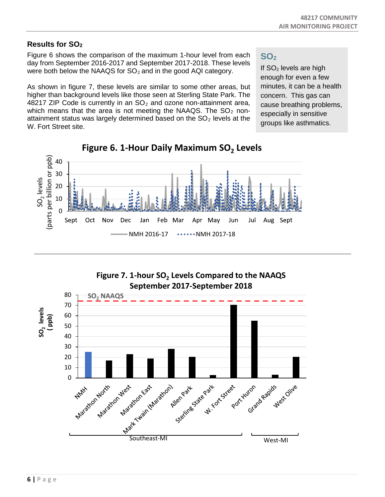## <span id="page-7-0"></span>**Results for SO2**

Figure 6 shows the comparison of the maximum 1-hour level from each day from September 2016-2017 and September 2017-2018. These levels were both below the NAAQS for  $SO<sub>2</sub>$  and in the good AQI category.

As shown in figure 7, these levels are similar to some other areas, but higher than background levels like those seen at Sterling State Park. The 48217 ZIP Code is currently in an  $SO<sub>2</sub>$  and ozone non-attainment area, which means that the area is not meeting the NAAQS. The  $SO<sub>2</sub>$  nonattainment status was largely determined based on the  $SO<sub>2</sub>$  levels at the W. Fort Street site.

# **SO2**

If  $SO<sub>2</sub>$  levels are high enough for even a few minutes, it can be a health concern. This gas can cause breathing problems, especially in sensitive groups like asthmatics.



# **Figure 6. 1-Hour Daily Maximum SO<sub>2</sub> Levels**

Figure 7. 1-hour SO<sub>2</sub> Levels Compared to the NAAQS **September 2017-September 2018**

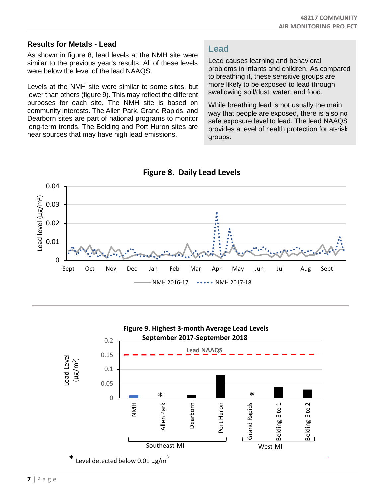## <span id="page-8-0"></span>**Results for Metals - Lead**

As shown in figure 8, lead levels at the NMH site were similar to the previous year's results. All of these levels were below the level of the lead NAAQS.

Levels at the NMH site were similar to some sites, but lower than others (figure 9). This may reflect the different purposes for each site. The NMH site is based on community interests. The Allen Park, Grand Rapids, and Dearborn sites are part of national programs to monitor long-term trends. The Belding and Port Huron sites are near sources that may have high lead emissions.

# **Lead**

Lead causes learning and behavioral problems in infants and children. As compared to breathing it, these sensitive groups are more likely to be exposed to lead through swallowing soil/dust, water, and food.

While breathing lead is not usually the main way that people are exposed, there is also no safe exposure level to lead. The lead NAAQS provides a level of health protection for at-risk groups.





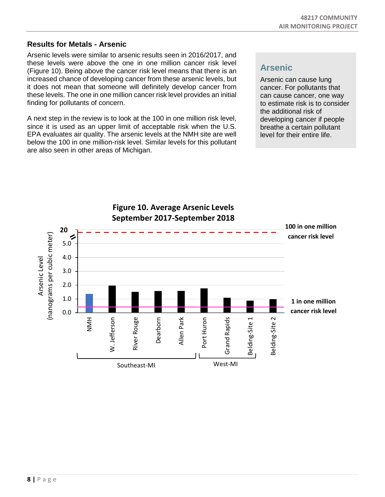## <span id="page-9-0"></span>**Results for Metals - Arsenic**

Arsenic levels were similar to arsenic results seen in 2016/2017, and these levels were above the one in one million cancer risk level (Figure 10). Being above the cancer risk level means that there is an increased chance of developing cancer from these arsenic levels, but it does not mean that someone will definitely develop cancer from these levels. The one in one million cancer risk level provides an initial finding for pollutants of concern.

A next step in the review is to look at the 100 in one million risk level, since it is used as an upper limit of acceptable risk when the U.S. EPA evaluates air quality. The arsenic levels at the NMH site are well below the 100 in one million-risk level. Similar levels for this pollutant are also seen in other areas of Michigan.

# **Arsenic**

Arsenic can cause lung cancer. For pollutants that can cause cancer, one way to estimate risk is to consider the additional risk of developing cancer if people breathe a certain pollutant level for their entire life.

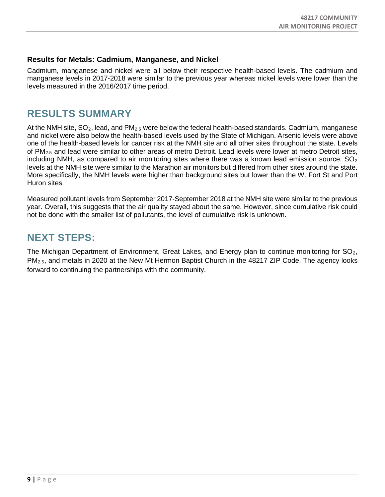## <span id="page-10-0"></span>**Results for Metals: Cadmium, Manganese, and Nickel**

Cadmium, manganese and nickel were all below their respective health-based levels. The cadmium and manganese levels in 2017-2018 were similar to the previous year whereas nickel levels were lower than the levels measured in the 2016/2017 time period.

# <span id="page-10-1"></span>**RESULTS SUMMARY**

At the NMH site,  $SO_2$ , lead, and PM<sub>2.5</sub> were below the federal health-based standards. Cadmium, manganese and nickel were also below the health-based levels used by the State of Michigan. Arsenic levels were above one of the health-based levels for cancer risk at the NMH site and all other sites throughout the state. Levels of PM<sub>2.5</sub> and lead were similar to other areas of metro Detroit. Lead levels were lower at metro Detroit sites, including NMH, as compared to air monitoring sites where there was a known lead emission source.  $SO_2$ levels at the NMH site were similar to the Marathon air monitors but differed from other sites around the state. More specifically, the NMH levels were higher than background sites but lower than the W. Fort St and Port Huron sites.

Measured pollutant levels from September 2017-September 2018 at the NMH site were similar to the previous year. Overall, this suggests that the air quality stayed about the same. However, since cumulative risk could not be done with the smaller list of pollutants, the level of cumulative risk is unknown.

# <span id="page-10-2"></span>**NEXT STEPS:**

The Michigan Department of Environment, Great Lakes, and Energy plan to continue monitoring for  $SO_2$ , PM2.5, and metals in 2020 at the New Mt Hermon Baptist Church in the 48217 ZIP Code. The agency looks forward to continuing the partnerships with the community.